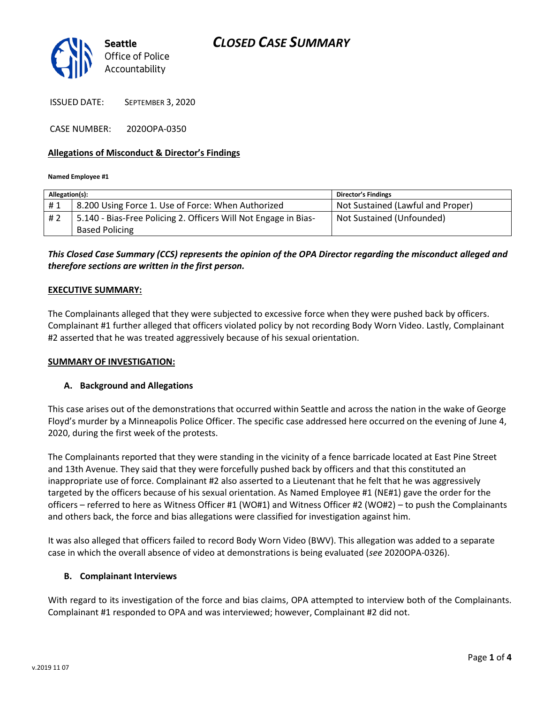

ISSUED DATE: SEPTEMBER 3, 2020

CASE NUMBER: 2020OPA-0350

### **Allegations of Misconduct & Director's Findings**

#### **Named Employee #1**

| Allegation(s): |                                                                 | Director's Findings               |
|----------------|-----------------------------------------------------------------|-----------------------------------|
| #1             | 8.200 Using Force 1. Use of Force: When Authorized              | Not Sustained (Lawful and Proper) |
| #2             | 5.140 - Bias-Free Policing 2. Officers Will Not Engage in Bias- | Not Sustained (Unfounded)         |
|                | <b>Based Policing</b>                                           |                                   |

## *This Closed Case Summary (CCS) represents the opinion of the OPA Director regarding the misconduct alleged and therefore sections are written in the first person.*

### **EXECUTIVE SUMMARY:**

The Complainants alleged that they were subjected to excessive force when they were pushed back by officers. Complainant #1 further alleged that officers violated policy by not recording Body Worn Video. Lastly, Complainant #2 asserted that he was treated aggressively because of his sexual orientation.

### **SUMMARY OF INVESTIGATION:**

### **A. Background and Allegations**

This case arises out of the demonstrations that occurred within Seattle and across the nation in the wake of George Floyd's murder by a Minneapolis Police Officer. The specific case addressed here occurred on the evening of June 4, 2020, during the first week of the protests.

The Complainants reported that they were standing in the vicinity of a fence barricade located at East Pine Street and 13th Avenue. They said that they were forcefully pushed back by officers and that this constituted an inappropriate use of force. Complainant #2 also asserted to a Lieutenant that he felt that he was aggressively targeted by the officers because of his sexual orientation. As Named Employee #1 (NE#1) gave the order for the officers – referred to here as Witness Officer #1 (WO#1) and Witness Officer #2 (WO#2) – to push the Complainants and others back, the force and bias allegations were classified for investigation against him.

It was also alleged that officers failed to record Body Worn Video (BWV). This allegation was added to a separate case in which the overall absence of video at demonstrations is being evaluated (*see* 2020OPA-0326).

### **B. Complainant Interviews**

With regard to its investigation of the force and bias claims, OPA attempted to interview both of the Complainants. Complainant #1 responded to OPA and was interviewed; however, Complainant #2 did not.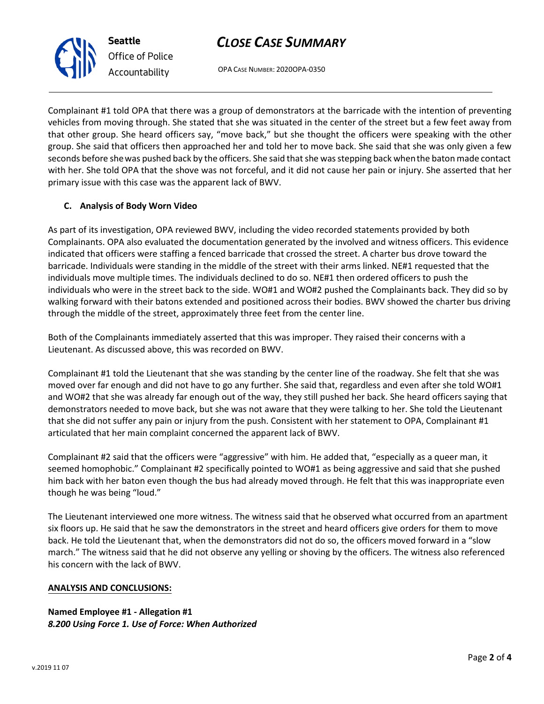# *CLOSE CASE SUMMARY*

OPA CASE NUMBER: 2020OPA-0350

Complainant #1 told OPA that there was a group of demonstrators at the barricade with the intention of preventing vehicles from moving through. She stated that she was situated in the center of the street but a few feet away from that other group. She heard officers say, "move back," but she thought the officers were speaking with the other group. She said that officers then approached her and told her to move back. She said that she was only given a few seconds before shewas pushed back by the officers. She said that she was stepping back whenthe baton made contact with her. She told OPA that the shove was not forceful, and it did not cause her pain or injury. She asserted that her primary issue with this case was the apparent lack of BWV.

## **C. Analysis of Body Worn Video**

**Seattle**

*Office of Police Accountability*

As part of its investigation, OPA reviewed BWV, including the video recorded statements provided by both Complainants. OPA also evaluated the documentation generated by the involved and witness officers. This evidence indicated that officers were staffing a fenced barricade that crossed the street. A charter bus drove toward the barricade. Individuals were standing in the middle of the street with their arms linked. NE#1 requested that the individuals move multiple times. The individuals declined to do so. NE#1 then ordered officers to push the individuals who were in the street back to the side. WO#1 and WO#2 pushed the Complainants back. They did so by walking forward with their batons extended and positioned across their bodies. BWV showed the charter bus driving through the middle of the street, approximately three feet from the center line.

Both of the Complainants immediately asserted that this was improper. They raised their concerns with a Lieutenant. As discussed above, this was recorded on BWV.

Complainant #1 told the Lieutenant that she was standing by the center line of the roadway. She felt that she was moved over far enough and did not have to go any further. She said that, regardless and even after she told WO#1 and WO#2 that she was already far enough out of the way, they still pushed her back. She heard officers saying that demonstrators needed to move back, but she was not aware that they were talking to her. She told the Lieutenant that she did not suffer any pain or injury from the push. Consistent with her statement to OPA, Complainant #1 articulated that her main complaint concerned the apparent lack of BWV.

Complainant #2 said that the officers were "aggressive" with him. He added that, "especially as a queer man, it seemed homophobic." Complainant #2 specifically pointed to WO#1 as being aggressive and said that she pushed him back with her baton even though the bus had already moved through. He felt that this was inappropriate even though he was being "loud."

The Lieutenant interviewed one more witness. The witness said that he observed what occurred from an apartment six floors up. He said that he saw the demonstrators in the street and heard officers give orders for them to move back. He told the Lieutenant that, when the demonstrators did not do so, the officers moved forward in a "slow march." The witness said that he did not observe any yelling or shoving by the officers. The witness also referenced his concern with the lack of BWV.

### **ANALYSIS AND CONCLUSIONS:**

**Named Employee #1 - Allegation #1**  *8.200 Using Force 1. Use of Force: When Authorized* 

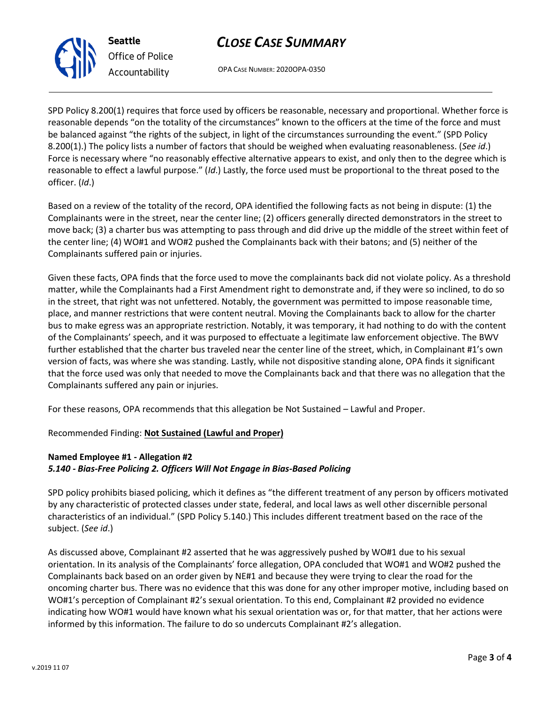# *CLOSE CASE SUMMARY*

OPA CASE NUMBER: 2020OPA-0350

SPD Policy 8.200(1) requires that force used by officers be reasonable, necessary and proportional. Whether force is reasonable depends "on the totality of the circumstances" known to the officers at the time of the force and must be balanced against "the rights of the subject, in light of the circumstances surrounding the event." (SPD Policy 8.200(1).) The policy lists a number of factors that should be weighed when evaluating reasonableness. (*See id*.) Force is necessary where "no reasonably effective alternative appears to exist, and only then to the degree which is reasonable to effect a lawful purpose." (*Id*.) Lastly, the force used must be proportional to the threat posed to the officer. (*Id*.)

Based on a review of the totality of the record, OPA identified the following facts as not being in dispute: (1) the Complainants were in the street, near the center line; (2) officers generally directed demonstrators in the street to move back; (3) a charter bus was attempting to pass through and did drive up the middle of the street within feet of the center line; (4) WO#1 and WO#2 pushed the Complainants back with their batons; and (5) neither of the Complainants suffered pain or injuries.

Given these facts, OPA finds that the force used to move the complainants back did not violate policy. As a threshold matter, while the Complainants had a First Amendment right to demonstrate and, if they were so inclined, to do so in the street, that right was not unfettered. Notably, the government was permitted to impose reasonable time, place, and manner restrictions that were content neutral. Moving the Complainants back to allow for the charter bus to make egress was an appropriate restriction. Notably, it was temporary, it had nothing to do with the content of the Complainants' speech, and it was purposed to effectuate a legitimate law enforcement objective. The BWV further established that the charter bus traveled near the center line of the street, which, in Complainant #1's own version of facts, was where she was standing. Lastly, while not dispositive standing alone, OPA finds it significant that the force used was only that needed to move the Complainants back and that there was no allegation that the Complainants suffered any pain or injuries.

For these reasons, OPA recommends that this allegation be Not Sustained – Lawful and Proper.

## Recommended Finding: **Not Sustained (Lawful and Proper)**

## **Named Employee #1 - Allegation #2**  *5.140 - Bias-Free Policing 2. Officers Will Not Engage in Bias-Based Policing*

SPD policy prohibits biased policing, which it defines as "the different treatment of any person by officers motivated by any characteristic of protected classes under state, federal, and local laws as well other discernible personal characteristics of an individual." (SPD Policy 5.140.) This includes different treatment based on the race of the subject. (*See id*.)

As discussed above, Complainant #2 asserted that he was aggressively pushed by WO#1 due to his sexual orientation. In its analysis of the Complainants' force allegation, OPA concluded that WO#1 and WO#2 pushed the Complainants back based on an order given by NE#1 and because they were trying to clear the road for the oncoming charter bus. There was no evidence that this was done for any other improper motive, including based on WO#1's perception of Complainant #2's sexual orientation. To this end, Complainant #2 provided no evidence indicating how WO#1 would have known what his sexual orientation was or, for that matter, that her actions were informed by this information. The failure to do so undercuts Complainant #2's allegation.



*Office of Police Accountability*

**Seattle**